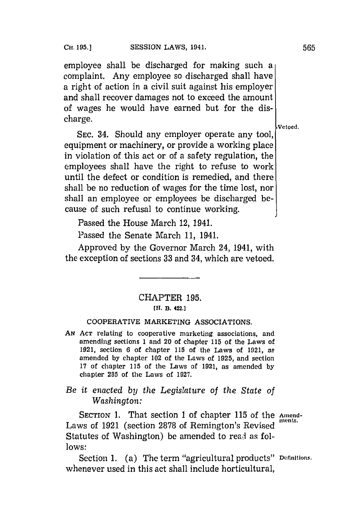employee shall be discharged for making such a complaint. Any employee so discharged shall have a right of action in a civil suit against his employer and shall recover damages not to exceed the amount of wages he would have earned but for the discharge.  $\left.\rule{0cm}{1.2cm}\right\}$  vetoed

**SEC.** 34. Should any employer operate any tool, equipment or machinery, or provide a working place in violation of this act or of a safety regulation, the employees shall have the right to refuse to work until the defect or condition is remedied, and there shall be no reduction of wages for the time lost, nor shall an employee or employees be discharged because of such refusal to continue working.

Passed the House March 12, 1941.

Passed the Senate March **11,** 1941.

Approved **by** the Governor March 24, 1941, with the exception of sections **33** and 34, which are vetoed.

## CHAPTER **195. [Hl. B. 422.]**

## COOPERATIVE MARKETING **ASSOCIATIONS.**

*AN* **ACr** relating to cooperative marketing associations, and amending sections **1** and 20 of chapter **115** of the Laws of **1921,** section **6** of chapter **115** of the Laws of **1921,** as amended **by** chapter 102 of the Laws of **1925,** and section 17 of chapter 115 of the Laws of 1921, as amended by chapter **285** of the Laws of **1927.**

*Be it enacted by the Legislature of the State of Washington:*

SECTION 1. That section 1 of chapter 115 of the Amend-Laws of 1921 (section 2878 of Remington's Revised Statutes of Washington) be amended to read as fol**lows:**

Section **1.** (a) The term "agricultural products" **Definitions.** whenever used in this act shall include horticultural,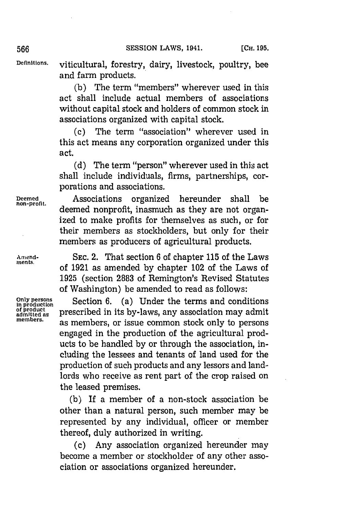**Definitions,** viticultural, forestry, dairy, livestock, poultry, bee and farm products.

> **(b)** The term "members" wherever used in this act shall include actual members of associations without capital stock and holders of common stock in associations organized with capital stock.

> **(c)** The term "association" wherever used in this act means any corporation organized under this act.

> **(d)** The term "person" wherever used in this act shall include individuals, firms, partnerships, corporations and associations.

**Deemed** Associations organized hereunder shall be deemed nonprofit, inasmuch as they are not organized to make profits for themselves as such, or for their members as stockholders, but only for their members as producers of agricultural products.

Amend-<br>ments. SEC. 2. That section 6 of chapter 115 of the Laws of 1921 as amended by chapter 102 of the Laws of **1925** (section **2883** of Remington's Revised Statutes of Washington) be amended to read as follows:

Only persons<br>
in production<br>
of product<br> **EXECUTE: CONFIDENTIAL CONSTANT: CONFIDENT**<br> **CONFIDENT**<br> **CONFIDENT**<br> **CONFIDENT**<br> **CONFIDENT**<br> **CONFIDENT**<br> **CONFIDENT**<br> **CONFIDENT**<br> **CONFIDENT**<br> **CONFIDENT**<br> **CONFIDENT**<br> **C** of product **prescribed in its by-laws, any association may admit members,** as members, or issue common stock only to persons engaged in the production of the agricultural products to be handled **by** or through the association, including the lessees and tenants of land used for the production of such products and any lessors and landlords who receive as rent part of the crop raised on the leased premises.

> **(b)** If a member of a non-stock association be other than a natural person, such member may be represented **by** any individual, officer or member thereof, duly authorized in writing.

> **(c)** Any association organized hereunder may become a member or stockholder of any other association or associations organized hereunder.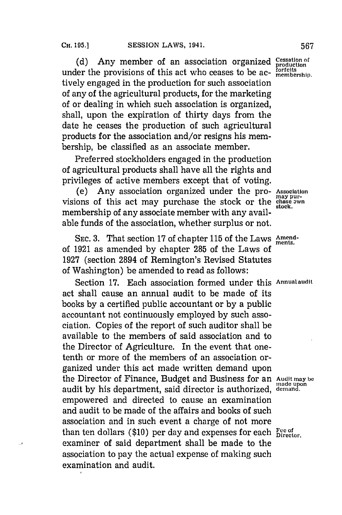(d) Any member of an association organized <sup>Cessation</sup> under the provisions of this act who ceases to be ac- **infirmal** integral position tively engaged in the production for such association of any of the agricultural products, for the marketing of or dealing in which such association is organized, shall, upon the expiration of thirty days from the date he ceases the production of such agricultural products for the association and/or resigns his membership, be classified as an associate member.

Preferred stockholders engaged in the production of agricultural products shall have all the rights and privileges of active members except that of voting.

(e) Any association organized under the pro- **Association** visions of this act may purchase the stock or the **change awn** membership of any associate member with any available funds of the association, whether surplus or not.

**SEC. 3.** That section **17** of chapter **115** of the Laws **Amend-ments.** of **1921** as amended **by** chapter **285** of the Laws of **1927** (section 2894 of Remington's Revised Statutes of Washington) be amended to read as follows:

Section **17.** Each association formed under this **Annualaudit** act shall cause an annual audit to be made of its books **by** a certified public accountant or **by** a public accountant not continuously employed **by** such association. Copies of the report of such auditor shall be available to the members of said association and to the Director of Agriculture. In the event that onetenth or more of the members of an association organized under this act made written demand upon the Director of Finance, Budget and Business for an Audit may be audit **by** his department, said director is authorized, **deniand.** empowered and directed to cause an examination and audit to be made of the affairs and books of such association and in such event a charge of not more than ten dollars (\$10) per day and expenses for each **President**. examiner of said department shall be made to the association to pay the actual expense of making such examination and audit.